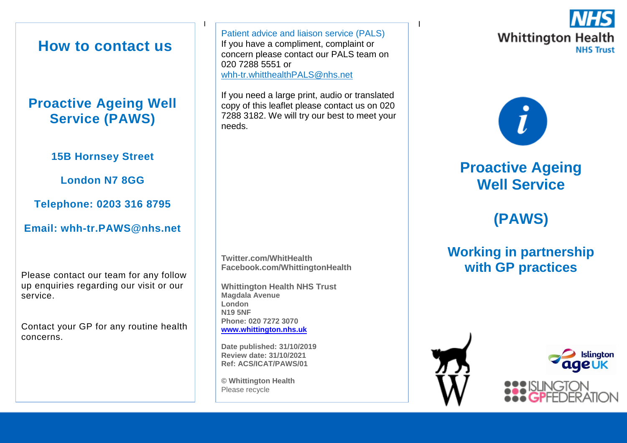### **How to contact us**

### **Proactive Ageing Well Service (PAWS)**

### **15B Hornsey Street**

**London N7 8GG**

**Telephone: 0203 316 8795**

### **Email: whh-tr.PAWS@nhs.net**

Please contact our team for any follow up enquiries regarding our visit or our service.

Contact your GP for any routine health concerns.

<u>I i provincia de la contrada de la contrada de la contrada de la contrada de la contrada de la con</u> Patient advice and liaison service (PALS) If you have a compliment, complaint or concern please contact our PALS team on 020 7288 5551 or [whh-tr.whitthealthPALS@nhs.net](mailto:whh-tr.whitthealthPALS@nhs.net)

If you need a large print, audio or translated copy of this leaflet please contact us on 020 7288 3182. We will try our best to meet your needs.

**Twitter.com/WhitHealth Facebook.com/WhittingtonHealth**

**Whittington Health NHS Trust Magdala Avenue London N19 5NF Phone: 020 7272 3070 [www.whittington.nhs.uk](http://www.whittington.nhs.uk/)**

**Date published: 31/10/2019 Review date: 31/10/2021 Ref: ACS/ICAT/PAWS/01**

**© Whittington Health** Please recycle





## **Proactive Ageing Well Service**

# **(PAWS)**

### **Working in partnership with GP practices**